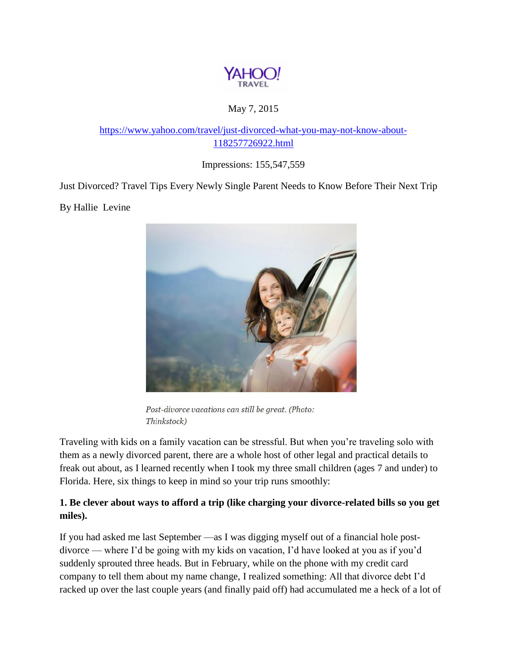

May 7, 2015

# [https://www.yahoo.com/travel/just-divorced-what-you-may-not-know-about-](https://www.yahoo.com/travel/just-divorced-what-you-may-not-know-about-118257726922.html)[118257726922.html](https://www.yahoo.com/travel/just-divorced-what-you-may-not-know-about-118257726922.html)

Impressions: 155,547,559

Just Divorced? Travel Tips Every Newly Single Parent Needs to Know Before Their Next Trip

By Hallie Levine



Post-divorce vacations can still be great. (Photo: Thinkstock)

Traveling with kids on a family vacation can be stressful. But when you're traveling solo with them as a newly divorced parent, there are a whole host of other legal and practical details to freak out about, as I learned recently when I took my three small children (ages 7 and under) to Florida. Here, six things to keep in mind so your trip runs smoothly:

## **1. Be clever about ways to afford a trip (like charging your divorce-related bills so you get miles).**

If you had asked me last September —as I was digging myself out of a financial hole postdivorce — where I'd be going with my kids on vacation, I'd have looked at you as if you'd suddenly sprouted three heads. But in February, while on the phone with my credit card company to tell them about my name change, I realized something: All that divorce debt I'd racked up over the last couple years (and finally paid off) had accumulated me a heck of a lot of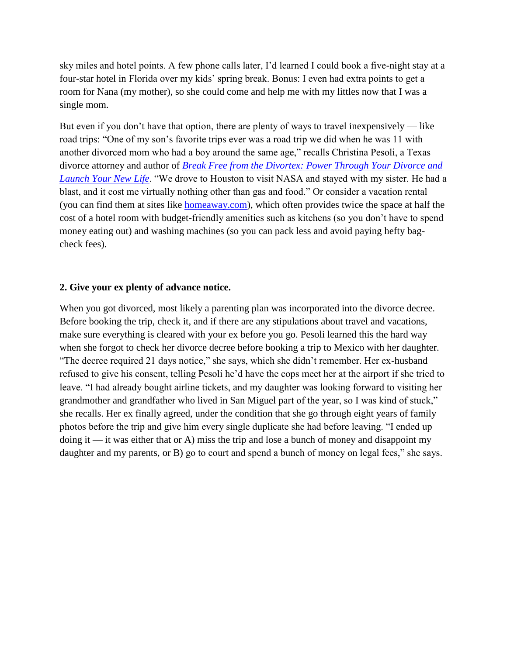sky miles and hotel points. A few phone calls later, I'd learned I could book a five-night stay at a four-star hotel in Florida over my kids' spring break. Bonus: I even had extra points to get a room for Nana (my mother), so she could come and help me with my littles now that I was a single mom.

But even if you don't have that option, there are plenty of ways to travel inexpensively — like road trips: "One of my son's favorite trips ever was a road trip we did when he was 11 with another divorced mom who had a boy around the same age," recalls Christina Pesoli, a Texas divorce attorney and author of *[Break Free from the Divortex: Power Through Your Divorce and](http://www.amazon.com/Break-Free-Divortex-Through-Divorce/dp/1580055354)  [Launch Your New Life](http://www.amazon.com/Break-Free-Divortex-Through-Divorce/dp/1580055354)*. "We drove to Houston to visit NASA and stayed with my sister. He had a blast, and it cost me virtually nothing other than gas and food." Or consider a vacation rental (you can find them at sites like [homeaway.com\)](http://www.homeaway.com/), which often provides twice the space at half the cost of a hotel room with budget-friendly amenities such as kitchens (so you don't have to spend money eating out) and washing machines (so you can pack less and avoid paying hefty bagcheck fees).

#### **2. Give your ex plenty of advance notice.**

When you got divorced, most likely a parenting plan was incorporated into the divorce decree. Before booking the trip, check it, and if there are any stipulations about travel and vacations, make sure everything is cleared with your ex before you go. Pesoli learned this the hard way when she forgot to check her divorce decree before booking a trip to Mexico with her daughter. "The decree required 21 days notice," she says, which she didn't remember. Her ex-husband refused to give his consent, telling Pesoli he'd have the cops meet her at the airport if she tried to leave. "I had already bought airline tickets, and my daughter was looking forward to visiting her grandmother and grandfather who lived in San Miguel part of the year, so I was kind of stuck," she recalls. Her ex finally agreed, under the condition that she go through eight years of family photos before the trip and give him every single duplicate she had before leaving. "I ended up doing it — it was either that or A) miss the trip and lose a bunch of money and disappoint my daughter and my parents, or B) go to court and spend a bunch of money on legal fees," she says.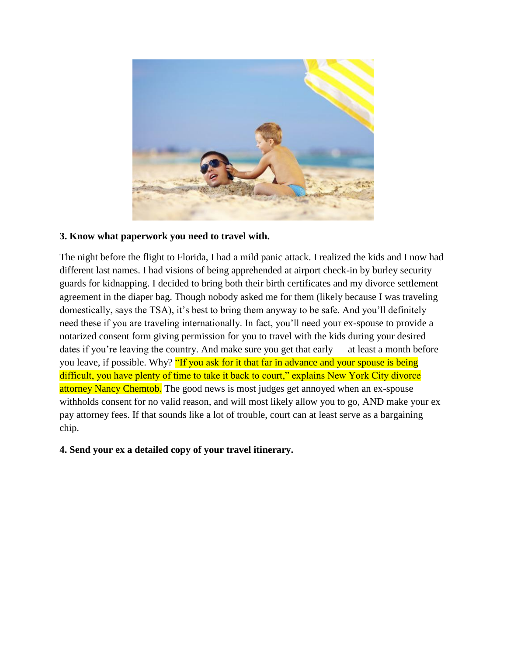

#### **3. Know what paperwork you need to travel with.**

The night before the flight to Florida, I had a mild panic attack. I realized the kids and I now had different last names. I had visions of being apprehended at airport check-in by burley security guards for kidnapping. I decided to bring both their birth certificates and my divorce settlement agreement in the diaper bag. Though nobody asked me for them (likely because I was traveling domestically, says the TSA), it's best to bring them anyway to be safe. And you'll definitely need these if you are traveling internationally. In fact, you'll need your ex-spouse to provide a notarized consent form giving permission for you to travel with the kids during your desired dates if you're leaving the country. And make sure you get that early — at least a month before you leave, if possible. Why? "If you ask for it that far in advance and your spouse is being difficult, you have plenty of time to take it back to court," explains New York City divorce attorney Nancy Chemtob. The good news is most judges get annoyed when an ex-spouse withholds consent for no valid reason, and will most likely allow you to go, AND make your ex pay attorney fees. If that sounds like a lot of trouble, court can at least serve as a bargaining chip.

### **4. Send your ex a detailed copy of your travel itinerary.**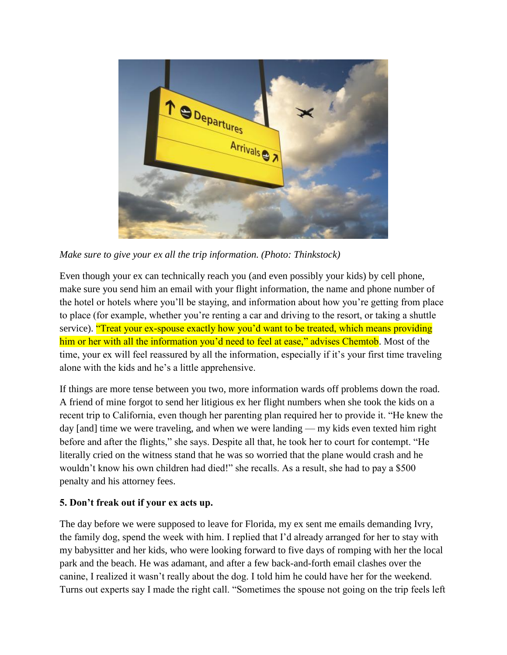

*Make sure to give your ex all the trip information. (Photo: Thinkstock)*

Even though your ex can technically reach you (and even possibly your kids) by cell phone, make sure you send him an email with your flight information, the name and phone number of the hotel or hotels where you'll be staying, and information about how you're getting from place to place (for example, whether you're renting a car and driving to the resort, or taking a shuttle service). "Treat your ex-spouse exactly how you'd want to be treated, which means providing him or her with all the information you'd need to feel at ease," advises Chemtob. Most of the time, your ex will feel reassured by all the information, especially if it's your first time traveling alone with the kids and he's a little apprehensive.

If things are more tense between you two, more information wards off problems down the road. A friend of mine forgot to send her litigious ex her flight numbers when she took the kids on a recent trip to California, even though her parenting plan required her to provide it. "He knew the day [and] time we were traveling, and when we were landing — my kids even texted him right before and after the flights," she says. Despite all that, he took her to court for contempt. "He literally cried on the witness stand that he was so worried that the plane would crash and he wouldn't know his own children had died!" she recalls. As a result, she had to pay a \$500 penalty and his attorney fees.

### **5. Don't freak out if your ex acts up.**

The day before we were supposed to leave for Florida, my ex sent me emails demanding Ivry, the family dog, spend the week with him. I replied that I'd already arranged for her to stay with my babysitter and her kids, who were looking forward to five days of romping with her the local park and the beach. He was adamant, and after a few back-and-forth email clashes over the canine, I realized it wasn't really about the dog. I told him he could have her for the weekend. Turns out experts say I made the right call. "Sometimes the spouse not going on the trip feels left